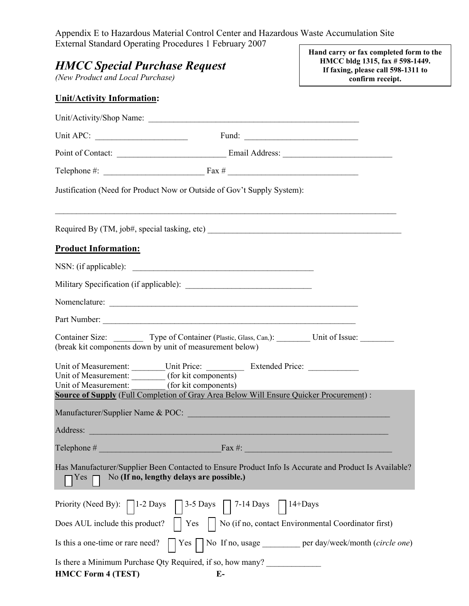Appendix E to Hazardous Material Control Center and Hazardous Waste Accumulation Site External Standard Operating Procedures 1 February 2007 **Hand carry or fax completed form to the**

| <b>HMCC Special Purchase Request</b><br>(New Product and Local Purchase)               |                                                                                                                                                                              | <b>Trail Carly of Tax Completed form to</b><br>HMCC bldg 1315, fax # 598-1449.<br>If faxing, please call 598-1311 to<br>confirm receipt. |  |
|----------------------------------------------------------------------------------------|------------------------------------------------------------------------------------------------------------------------------------------------------------------------------|------------------------------------------------------------------------------------------------------------------------------------------|--|
| <b>Unit/Activity Information:</b>                                                      |                                                                                                                                                                              |                                                                                                                                          |  |
|                                                                                        | Unit/Activity/Shop Name:                                                                                                                                                     |                                                                                                                                          |  |
|                                                                                        |                                                                                                                                                                              |                                                                                                                                          |  |
|                                                                                        |                                                                                                                                                                              |                                                                                                                                          |  |
|                                                                                        |                                                                                                                                                                              |                                                                                                                                          |  |
|                                                                                        | Justification (Need for Product Now or Outside of Gov't Supply System):                                                                                                      |                                                                                                                                          |  |
|                                                                                        |                                                                                                                                                                              |                                                                                                                                          |  |
| <b>Product Information:</b>                                                            |                                                                                                                                                                              |                                                                                                                                          |  |
|                                                                                        |                                                                                                                                                                              |                                                                                                                                          |  |
|                                                                                        |                                                                                                                                                                              |                                                                                                                                          |  |
|                                                                                        |                                                                                                                                                                              |                                                                                                                                          |  |
|                                                                                        | Part Number:                                                                                                                                                                 |                                                                                                                                          |  |
| (break kit components down by unit of measurement below)                               | Container Size: Type of Container (Plastic, Glass, Can,): Unit of Issue: _______                                                                                             |                                                                                                                                          |  |
| Unit of Measurement: (for kit components)<br>Unit of Measurement: (for kit components) | Unit of Measurement: Unit Price: Extended Price: ________________________________<br>Source of Supply (Full Completion of Gray Area Below Will Ensure Quicker Procurement) : |                                                                                                                                          |  |
| Manufacturer/Supplier Name & POC:                                                      | <u> 1989 - Johann Stein, marwolaethau a bhann an t-Amhainn an t-Amhainn an t-Amhainn an t-Amhainn an t-Amhainn an</u>                                                        |                                                                                                                                          |  |
|                                                                                        | Address: <u>New York: Address:</u> New York: 2014                                                                                                                            |                                                                                                                                          |  |
|                                                                                        |                                                                                                                                                                              |                                                                                                                                          |  |
| Yes                                                                                    | Has Manufacturer/Supplier Been Contacted to Ensure Product Info Is Accurate and Product Is Available?<br>No (If no, lengthy delays are possible.)                            |                                                                                                                                          |  |
|                                                                                        | Priority (Need By): $\Box$ 1-2 Days $\Box$ 3-5 Days $\Box$ 7-14 Days $\Box$ 14+Days                                                                                          |                                                                                                                                          |  |
|                                                                                        |                                                                                                                                                                              |                                                                                                                                          |  |
|                                                                                        | Is this a one-time or rare need? $\vert \vert$ Yes $\vert \vert$ No If no, usage <u>equal per day/week/month</u> (circle one)                                                |                                                                                                                                          |  |
| <b>HMCC Form 4 (TEST)</b>                                                              | Is there a Minimum Purchase Qty Required, if so, how many?<br>$E-$                                                                                                           |                                                                                                                                          |  |